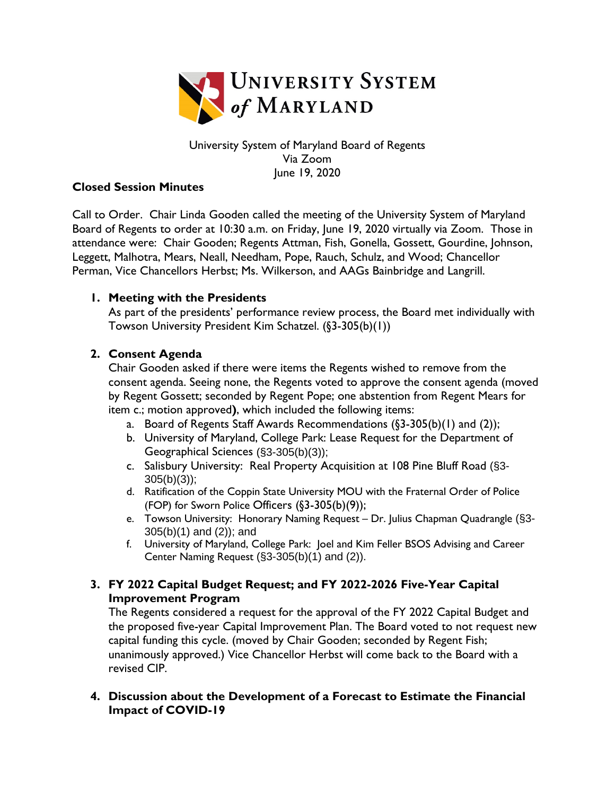

# University System of Maryland Board of Regents Via Zoom June 19, 2020

### **Closed Session Minutes**

Call to Order. Chair Linda Gooden called the meeting of the University System of Maryland Board of Regents to order at 10:30 a.m. on Friday, June 19, 2020 virtually via Zoom. Those in attendance were: Chair Gooden; Regents Attman, Fish, Gonella, Gossett, Gourdine, Johnson, Leggett, Malhotra, Mears, Neall, Needham, Pope, Rauch, Schulz, and Wood; Chancellor Perman, Vice Chancellors Herbst; Ms. Wilkerson, and AAGs Bainbridge and Langrill.

# **1. Meeting with the Presidents**

As part of the presidents' performance review process, the Board met individually with Towson University President Kim Schatzel. (§3-305(b)(1))

# **2. Consent Agenda**

Chair Gooden asked if there were items the Regents wished to remove from the consent agenda. Seeing none, the Regents voted to approve the consent agenda (moved by Regent Gossett; seconded by Regent Pope; one abstention from Regent Mears for item c.; motion approved**)**, which included the following items:

- a. Board of Regents Staff Awards Recommendations (§3-305(b)(1) and (2));
- b. University of Maryland, College Park: Lease Request for the Department of Geographical Sciences (§3-305(b)(3));
- c. Salisbury University: Real Property Acquisition at 108 Pine Bluff Road (§3- 305(b)(3));
- d. Ratification of the Coppin State University MOU with the Fraternal Order of Police (FOP) for Sworn Police Officers (§3-305(b)(9));
- e. Towson University: Honorary Naming Request Dr. Julius Chapman Quadrangle (§3- 305(b)(1) and (2)); and
- f. University of Maryland, College Park: Joel and Kim Feller BSOS Advising and Career Center Naming Request (§3-305(b)(1) and (2)).

# **3. FY 2022 Capital Budget Request; and FY 2022-2026 Five-Year Capital Improvement Program**

The Regents considered a request for the approval of the FY 2022 Capital Budget and the proposed five-year Capital Improvement Plan. The Board voted to not request new capital funding this cycle. (moved by Chair Gooden; seconded by Regent Fish; unanimously approved.) Vice Chancellor Herbst will come back to the Board with a revised CIP.

**4. Discussion about the Development of a Forecast to Estimate the Financial Impact of COVID-19**